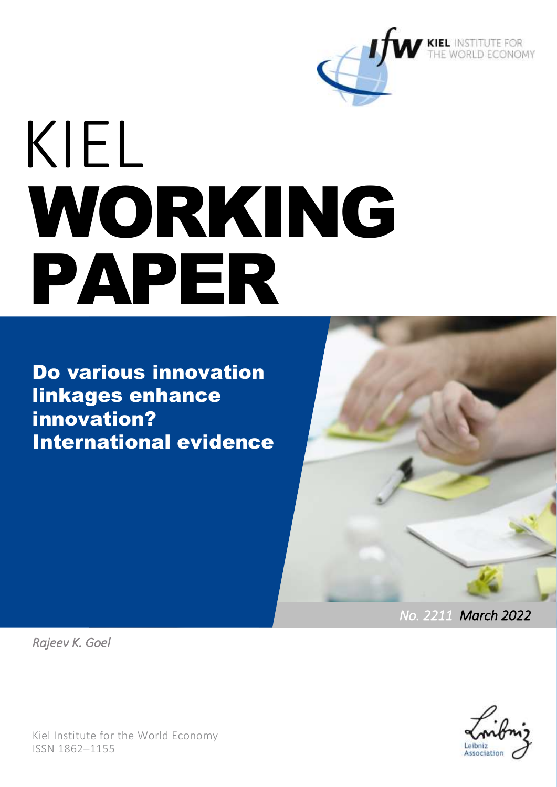

# KIEL WORKING PAPER

Do various innovation linkages enhance innovation? International evidence



*No. 2211 March 2022* 

*Rajeev K. Goel*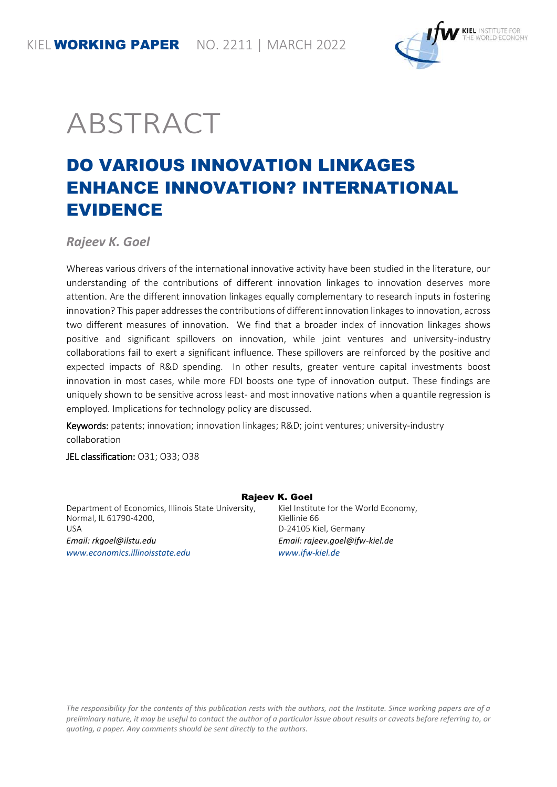

## ABSTRACT

### DO VARIOUS INNOVATION LINKAGES ENHANCE INNOVATION? INTERNATIONAL EVIDENCE

*Rajeev K. Goel*

Whereas various drivers of the international innovative activity have been studied in the literature, our understanding of the contributions of different innovation linkages to innovation deserves more attention. Are the different innovation linkages equally complementary to research inputs in fostering innovation? This paper addresses the contributions of different innovation linkages to innovation, across two different measures of innovation. We find that a broader index of innovation linkages shows positive and significant spillovers on innovation, while joint ventures and university-industry collaborations fail to exert a significant influence. These spillovers are reinforced by the positive and expected impacts of R&D spending. In other results, greater venture capital investments boost innovation in most cases, while more FDI boosts one type of innovation output. These findings are uniquely shown to be sensitive across least- and most innovative nations when a quantile regression is employed. Implications for technology policy are discussed.

Keywords: patents; innovation; innovation linkages; R&D; joint ventures; university-industry collaboration

JEL classification: O31; O33; O38

Department of Economics, Illinois State University, Normal, IL 61790-4200, USA *Email[: rkgoel@ilstu.edu](mailto:rkgoel@ilstu.edu) [www.economics.illinoisstate.edu](http://www.economics.illinoisstate.edu/)*

#### Rajeev K. Goel

Kiel Institute for the World Economy, Kiellinie 66 D-24105 Kiel, Germany *Email: rajeev.goel@ifw-kiel.de [www.ifw-kiel.de](http://www.ifw-kiel.de/)*

*The responsibility for the contents of this publication rests with the authors, not the Institute. Since working papers are of a preliminary nature, it may be useful to contact the author of a particular issue about results or caveats before referring to, or quoting, a paper. Any comments should be sent directly to the authors.*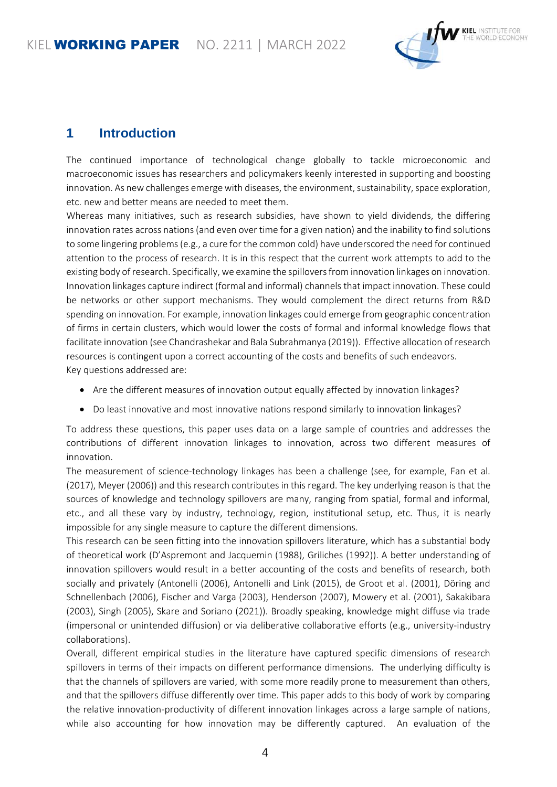

#### **1 Introduction**

The continued importance of technological change globally to tackle microeconomic and macroeconomic issues has researchers and policymakers keenly interested in supporting and boosting innovation. As new challenges emerge with diseases, the environment, sustainability, space exploration, etc. new and better means are needed to meet them.

Whereas many initiatives, such as research subsidies, have shown to yield dividends, the differing innovation rates across nations (and even over time for a given nation) and the inability to find solutions to some lingering problems (e.g., a cure for the common cold) have underscored the need for continued attention to the process of research. It is in this respect that the current work attempts to add to the existing body of research. Specifically, we examine the spillovers from innovation linkages on innovation. Innovation linkages capture indirect (formal and informal) channels that impact innovation. These could be networks or other support mechanisms. They would complement the direct returns from R&D spending on innovation. For example, innovation linkages could emerge from geographic concentration of firms in certain clusters, which would lower the costs of formal and informal knowledge flows that facilitate innovation (see Chandrashekar and Bala Subrahmanya (2019)). Effective allocation of research resources is contingent upon a correct accounting of the costs and benefits of such endeavors. Key questions addressed are:

- Are the different measures of innovation output equally affected by innovation linkages?
- Do least innovative and most innovative nations respond similarly to innovation linkages?

To address these questions, this paper uses data on a large sample of countries and addresses the contributions of different innovation linkages to innovation, across two different measures of innovation.

The measurement of science-technology linkages has been a challenge (see, for example, Fan et al. (2017), Meyer (2006)) and this research contributes in this regard. The key underlying reason is that the sources of knowledge and technology spillovers are many, ranging from spatial, formal and informal, etc., and all these vary by industry, technology, region, institutional setup, etc. Thus, it is nearly impossible for any single measure to capture the different dimensions.

This research can be seen fitting into the innovation spillovers literature, which has a substantial body of theoretical work (D'Aspremont and Jacquemin (1988), Griliches (1992)). A better understanding of innovation spillovers would result in a better accounting of the costs and benefits of research, both socially and privately (Antonelli (2006), Antonelli and Link (2015), de Groot et al. (2001), Döring and Schnellenbach (2006), Fischer and Varga (2003), Henderson (2007), Mowery et al. (2001), Sakakibara (2003), Singh (2005), Skare and Soriano (2021)). Broadly speaking, knowledge might diffuse via trade (impersonal or unintended diffusion) or via deliberative collaborative efforts (e.g., university-industry collaborations).

Overall, different empirical studies in the literature have captured specific dimensions of research spillovers in terms of their impacts on different performance dimensions. The underlying difficulty is that the channels of spillovers are varied, with some more readily prone to measurement than others, and that the spillovers diffuse differently over time. This paper adds to this body of work by comparing the relative innovation-productivity of different innovation linkages across a large sample of nations, while also accounting for how innovation may be differently captured. An evaluation of the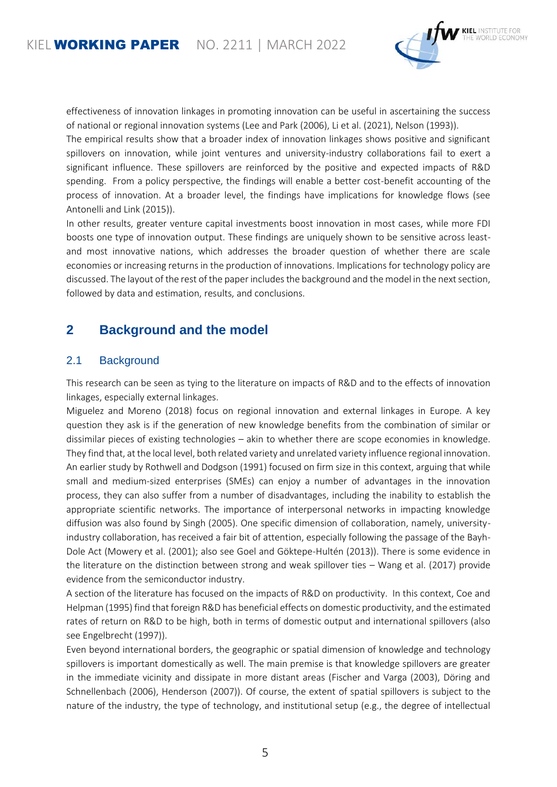

effectiveness of innovation linkages in promoting innovation can be useful in ascertaining the success of national or regional innovation systems (Lee and Park (2006), Li et al. (2021), Nelson (1993)).

The empirical results show that a broader index of innovation linkages shows positive and significant spillovers on innovation, while joint ventures and university-industry collaborations fail to exert a significant influence. These spillovers are reinforced by the positive and expected impacts of R&D spending. From a policy perspective, the findings will enable a better cost-benefit accounting of the process of innovation. At a broader level, the findings have implications for knowledge flows (see Antonelli and Link (2015)).

In other results, greater venture capital investments boost innovation in most cases, while more FDI boosts one type of innovation output. These findings are uniquely shown to be sensitive across leastand most innovative nations, which addresses the broader question of whether there are scale economies or increasing returns in the production of innovations. Implications for technology policy are discussed. The layout of the rest of the paper includes the background and the model in the next section, followed by data and estimation, results, and conclusions.

#### **2 Background and the model**

#### 2.1 Background

This research can be seen as tying to the literature on impacts of R&D and to the effects of innovation linkages, especially external linkages.

Miguelez and Moreno (2018) focus on regional innovation and external linkages in Europe. A key question they ask is if the generation of new knowledge benefits from the combination of similar or dissimilar pieces of existing technologies – akin to whether there are scope economies in knowledge. They find that, at the local level, both related variety and unrelated variety influence regional innovation. An earlier study by Rothwell and Dodgson (1991) focused on firm size in this context, arguing that while small and medium-sized enterprises (SMEs) can enjoy a number of advantages in the innovation process, they can also suffer from a number of disadvantages, including the inability to establish the appropriate scientific networks. The importance of interpersonal networks in impacting knowledge diffusion was also found by Singh (2005). One specific dimension of collaboration, namely, universityindustry collaboration, has received a fair bit of attention, especially following the passage of the Bayh-Dole Act (Mowery et al. (2001); also see Goel and Göktepe-Hultén (2013)). There is some evidence in the literature on the distinction between strong and weak spillover ties – Wang et al. (2017) provide evidence from the semiconductor industry.

A section of the literature has focused on the impacts of R&D on productivity. In this context, Coe and Helpman (1995) find that foreign R&D has beneficial effects on domestic productivity, and the estimated rates of return on R&D to be high, both in terms of domestic output and international spillovers (also see Engelbrecht (1997)).

Even beyond international borders, the geographic or spatial dimension of knowledge and technology spillovers is important domestically as well. The main premise is that knowledge spillovers are greater in the immediate vicinity and dissipate in more distant areas (Fischer and Varga (2003), Döring and Schnellenbach (2006), Henderson (2007)). Of course, the extent of spatial spillovers is subject to the nature of the industry, the type of technology, and institutional setup (e.g., the degree of intellectual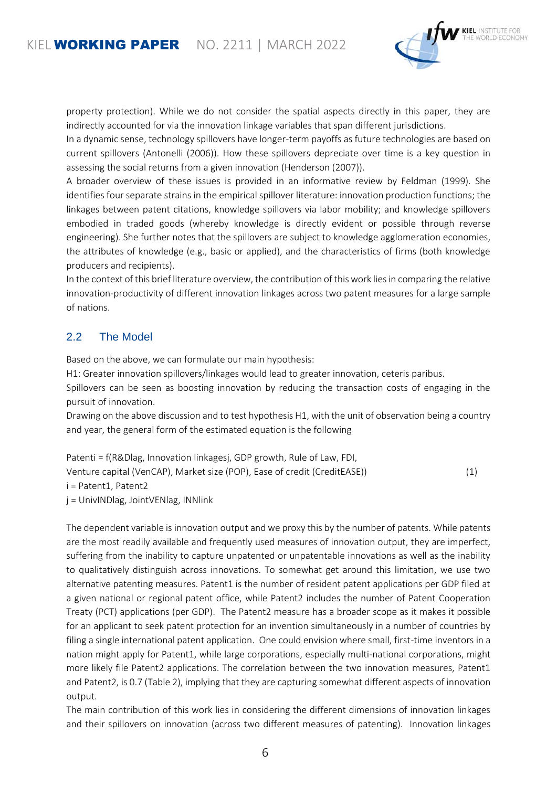

property protection). While we do not consider the spatial aspects directly in this paper, they are indirectly accounted for via the innovation linkage variables that span different jurisdictions.

In a dynamic sense, technology spillovers have longer-term payoffs as future technologies are based on current spillovers (Antonelli (2006)). How these spillovers depreciate over time is a key question in assessing the social returns from a given innovation (Henderson (2007)).

A broader overview of these issues is provided in an informative review by Feldman (1999). She identifies four separate strains in the empirical spillover literature: innovation production functions; the linkages between patent citations, knowledge spillovers via labor mobility; and knowledge spillovers embodied in traded goods (whereby knowledge is directly evident or possible through reverse engineering). She further notes that the spillovers are subject to knowledge agglomeration economies, the attributes of knowledge (e.g., basic or applied), and the characteristics of firms (both knowledge producers and recipients).

In the context of this brief literature overview, the contribution of this work lies in comparing the relative innovation-productivity of different innovation linkages across two patent measures for a large sample of nations.

#### 2.2 The Model

Based on the above, we can formulate our main hypothesis:

H1: Greater innovation spillovers/linkages would lead to greater innovation, ceteris paribus.

Spillovers can be seen as boosting innovation by reducing the transaction costs of engaging in the pursuit of innovation.

Drawing on the above discussion and to test hypothesis H1, with the unit of observation being a country and year, the general form of the estimated equation is the following

Patenti = f(R&Dlag, Innovation linkagesj, GDP growth, Rule of Law, FDI, Venture capital (VenCAP), Market size (POP), Ease of credit (CreditEASE)) (1) i = Patent1, Patent2 j = UnivINDlag, JointVENlag, INNlink

The dependent variable is innovation output and we proxy this by the number of patents. While patents are the most readily available and frequently used measures of innovation output, they are imperfect, suffering from the inability to capture unpatented or unpatentable innovations as well as the inability to qualitatively distinguish across innovations. To somewhat get around this limitation, we use two alternative patenting measures. Patent1 is the number of resident patent applications per GDP filed at a given national or regional patent office, while Patent2 includes the number of Patent Cooperation Treaty (PCT) applications (per GDP). The Patent2 measure has a broader scope as it makes it possible for an applicant to seek patent protection for an invention simultaneously in a number of countries by filing a single international patent application. One could envision where small, first-time inventors in a nation might apply for Patent1, while large corporations, especially multi-national corporations, might more likely file Patent2 applications. The correlation between the two innovation measures, Patent1 and Patent2, is 0.7 (Table 2), implying that they are capturing somewhat different aspects of innovation output.

The main contribution of this work lies in considering the different dimensions of innovation linkages and their spillovers on innovation (across two different measures of patenting). Innovation linkages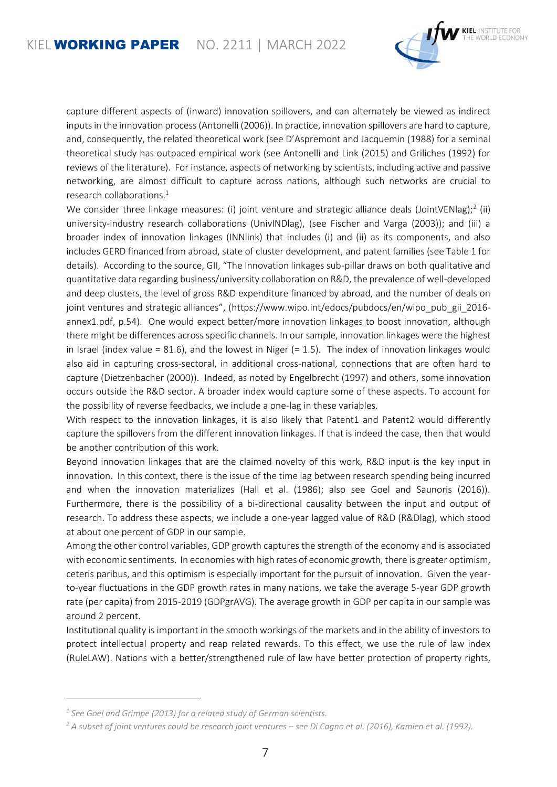

capture different aspects of (inward) innovation spillovers, and can alternately be viewed as indirect inputs in the innovation process (Antonelli (2006)). In practice, innovation spillovers are hard to capture, and, consequently, the related theoretical work (see D'Aspremont and Jacquemin (1988) for a seminal theoretical study has outpaced empirical work (see Antonelli and Link (2015) and Griliches (1992) for reviews of the literature). For instance, aspects of networking by scientists, including active and passive networking, are almost difficult to capture across nations, although such networks are crucial to research collaborations.<sup>1</sup>

We consider three linkage measures: (i) joint venture and strategic alliance deals (JointVENlag);<sup>2</sup> (ii) university-industry research collaborations (UnivINDlag), (see Fischer and Varga (2003)); and (iii) a broader index of innovation linkages (INNlink) that includes (i) and (ii) as its components, and also includes GERD financed from abroad, state of cluster development, and patent families (see Table 1 for details). According to the source, GII, "The Innovation linkages sub-pillar draws on both qualitative and quantitative data regarding business/university collaboration on R&D, the prevalence of well-developed and deep clusters, the level of gross R&D expenditure financed by abroad, and the number of deals on joint ventures and strategic alliances", ([https://www.wipo.int/edocs/pubdocs/en/wipo\\_pub\\_gii\\_2016](https://www.wipo.int/edocs/pubdocs/en/wipo_pub_gii_2016-annex1.pdf) [annex1.pdf,](https://www.wipo.int/edocs/pubdocs/en/wipo_pub_gii_2016-annex1.pdf) p.54). One would expect better/more innovation linkages to boost innovation, although there might be differences across specific channels. In our sample, innovation linkages were the highest in Israel (index value = 81.6), and the lowest in Niger  $(= 1.5)$ . The index of innovation linkages would also aid in capturing cross-sectoral, in additional cross-national, connections that are often hard to capture (Dietzenbacher (2000)). Indeed, as noted by Engelbrecht (1997) and others, some innovation occurs outside the R&D sector. A broader index would capture some of these aspects. To account for the possibility of reverse feedbacks, we include a one-lag in these variables.

With respect to the innovation linkages, it is also likely that Patent1 and Patent2 would differently capture the spillovers from the different innovation linkages. If that is indeed the case, then that would be another contribution of this work.

Beyond innovation linkages that are the claimed novelty of this work, R&D input is the key input in innovation. In this context, there is the issue of the time lag between research spending being incurred and when the innovation materializes (Hall et al. (1986); also see Goel and Saunoris (2016)). Furthermore, there is the possibility of a bi-directional causality between the input and output of research. To address these aspects, we include a one-year lagged value of R&D (R&Dlag), which stood at about one percent of GDP in our sample.

Among the other control variables, GDP growth captures the strength of the economy and is associated with economic sentiments. In economies with high rates of economic growth, there is greater optimism, ceteris paribus, and this optimism is especially important for the pursuit of innovation. Given the yearto-year fluctuations in the GDP growth rates in many nations, we take the average 5-year GDP growth rate (per capita) from 2015-2019 (GDPgrAVG). The average growth in GDP per capita in our sample was around 2 percent.

Institutional quality is important in the smooth workings of the markets and in the ability of investors to protect intellectual property and reap related rewards. To this effect, we use the rule of law index (RuleLAW). Nations with a better/strengthened rule of law have better protection of property rights,

l

*<sup>1</sup> See Goel and Grimpe (2013) for a related study of German scientists.*

*<sup>2</sup> A subset of joint ventures could be research joint ventures – see Di Cagno et al. (2016), Kamien et al. (1992).*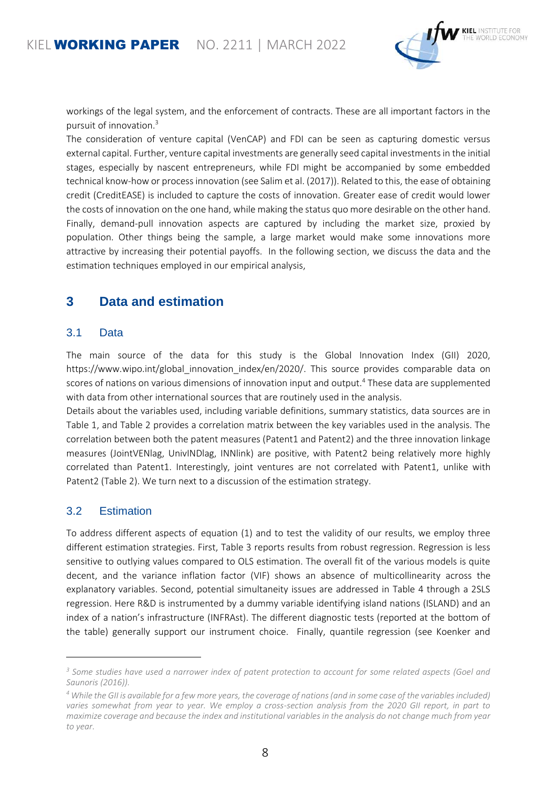

workings of the legal system, and the enforcement of contracts. These are all important factors in the pursuit of innovation.<sup>3</sup>

The consideration of venture capital (VenCAP) and FDI can be seen as capturing domestic versus external capital. Further, venture capital investments are generally seed capital investments in the initial stages, especially by nascent entrepreneurs, while FDI might be accompanied by some embedded technical know-how or process innovation (see Salim et al. (2017)). Related to this, the ease of obtaining credit (CreditEASE) is included to capture the costs of innovation. Greater ease of credit would lower the costs of innovation on the one hand, while making the status quo more desirable on the other hand. Finally, demand-pull innovation aspects are captured by including the market size, proxied by population. Other things being the sample, a large market would make some innovations more attractive by increasing their potential payoffs. In the following section, we discuss the data and the estimation techniques employed in our empirical analysis,

#### **3 Data and estimation**

#### 3.1 Data

The main source of the data for this study is the Global Innovation Index (GII) 2020, [https://www.wipo.int/global\\_innovation\\_index/en/2020/.](https://www.wipo.int/global_innovation_index/en/2020/) This source provides comparable data on scores of nations on various dimensions of innovation input and output.<sup>4</sup> These data are supplemented with data from other international sources that are routinely used in the analysis.

Details about the variables used, including variable definitions, summary statistics, data sources are in Table 1, and Table 2 provides a correlation matrix between the key variables used in the analysis. The correlation between both the patent measures (Patent1 and Patent2) and the three innovation linkage measures (JointVENlag, UnivINDlag, INNlink) are positive, with Patent2 being relatively more highly correlated than Patent1. Interestingly, joint ventures are not correlated with Patent1, unlike with Patent2 (Table 2). We turn next to a discussion of the estimation strategy.

#### 3.2 Estimation

l

To address different aspects of equation (1) and to test the validity of our results, we employ three different estimation strategies. First, Table 3 reports results from robust regression. Regression is less sensitive to outlying values compared to OLS estimation. The overall fit of the various models is quite decent, and the variance inflation factor (VIF) shows an absence of multicollinearity across the explanatory variables. Second, potential simultaneity issues are addressed in Table 4 through a 2SLS regression. Here R&D is instrumented by a dummy variable identifying island nations (ISLAND) and an index of a nation's infrastructure (INFRAst). The different diagnostic tests (reported at the bottom of the table) generally support our instrument choice. Finally, quantile regression (see Koenker and

*<sup>3</sup> Some studies have used a narrower index of patent protection to account for some related aspects (Goel and Saunoris (2016)).*

*<sup>4</sup> While the GII is available for a few more years, the coverage of nations (and in some case of the variables included) varies somewhat from year to year. We employ a cross-section analysis from the 2020 GII report, in part to maximize coverage and because the index and institutional variables in the analysis do not change much from year to year.*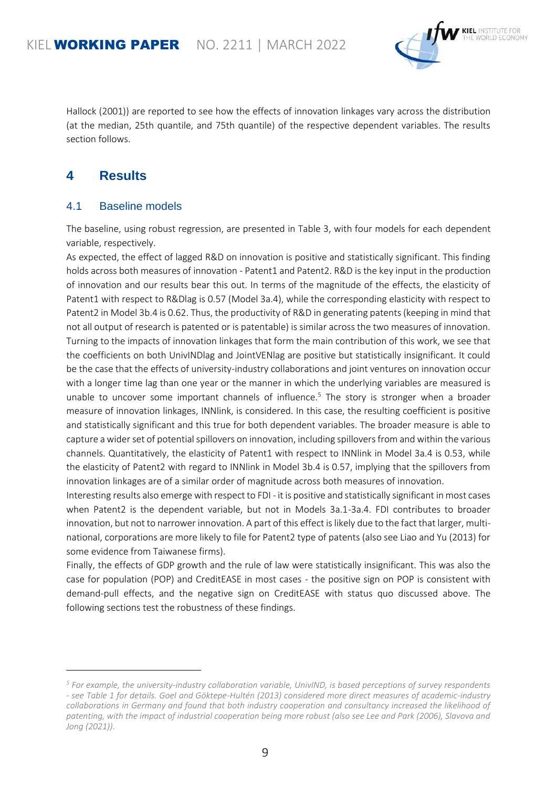

Hallock (2001)) are reported to see how the effects of innovation linkages vary across the distribution (at the median, 25th quantile, and 75th quantile) of the respective dependent variables. The results section follows.

#### **4 Results**

l

#### 4.1 Baseline models

The baseline, using robust regression, are presented in Table 3, with four models for each dependent variable, respectively.

As expected, the effect of lagged R&D on innovation is positive and statistically significant. This finding holds across both measures of innovation - Patent1 and Patent2. R&D is the key input in the production of innovation and our results bear this out. In terms of the magnitude of the effects, the elasticity of Patent1 with respect to R&Dlag is 0.57 (Model 3a.4), while the corresponding elasticity with respect to Patent2 in Model 3b.4 is 0.62. Thus, the productivity of R&D in generating patents (keeping in mind that not all output of research is patented or is patentable) is similar across the two measures of innovation. Turning to the impacts of innovation linkages that form the main contribution of this work, we see that the coefficients on both UnivINDlag and JointVENlag are positive but statistically insignificant. It could be the case that the effects of university-industry collaborations and joint ventures on innovation occur with a longer time lag than one year or the manner in which the underlying variables are measured is unable to uncover some important channels of influence.<sup>5</sup> The story is stronger when a broader measure of innovation linkages, INNlink, is considered. In this case, the resulting coefficient is positive and statistically significant and this true for both dependent variables. The broader measure is able to capture a wider set of potential spillovers on innovation, including spillovers from and within the various channels. Quantitatively, the elasticity of Patent1 with respect to INNlink in Model 3a.4 is 0.53, while the elasticity of Patent2 with regard to INNlink in Model 3b.4 is 0.57, implying that the spillovers from innovation linkages are of a similar order of magnitude across both measures of innovation.

Interesting results also emerge with respect to FDI - it is positive and statistically significant in most cases when Patent2 is the dependent variable, but not in Models 3a.1-3a.4. FDI contributes to broader innovation, but not to narrower innovation. A part of this effect is likely due to the fact that larger, multinational, corporations are more likely to file for Patent2 type of patents (also see Liao and Yu (2013) for some evidence from Taiwanese firms).

Finally, the effects of GDP growth and the rule of law were statistically insignificant. This was also the case for population (POP) and CreditEASE in most cases - the positive sign on POP is consistent with demand-pull effects, and the negative sign on CreditEASE with status quo discussed above. The following sections test the robustness of these findings.

*<sup>5</sup> For example, the university-industry collaboration variable, UnivIND, is based perceptions of survey respondents - see Table 1 for details. Goel and Göktepe-Hultén (2013) considered more direct measures of academic-industry collaborations in Germany and found that both industry cooperation and consultancy increased the likelihood of patenting, with the impact of industrial cooperation being more robust (also see Lee and Park (2006), Slavova and Jong (2021)).*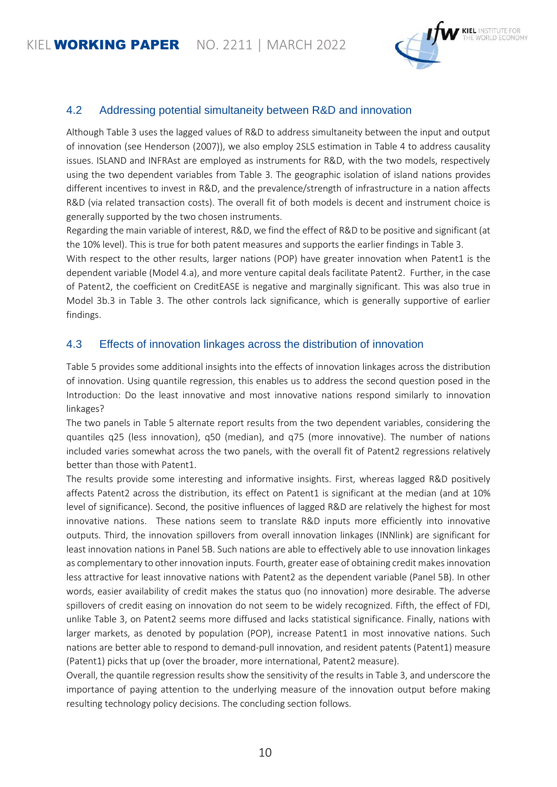

#### 4.2 Addressing potential simultaneity between R&D and innovation

Although Table 3 uses the lagged values of R&D to address simultaneity between the input and output of innovation (see Henderson (2007)), we also employ 2SLS estimation in Table 4 to address causality issues. ISLAND and INFRAst are employed as instruments for R&D, with the two models, respectively using the two dependent variables from Table 3. The geographic isolation of island nations provides different incentives to invest in R&D, and the prevalence/strength of infrastructure in a nation affects R&D (via related transaction costs). The overall fit of both models is decent and instrument choice is generally supported by the two chosen instruments.

Regarding the main variable of interest, R&D, we find the effect of R&D to be positive and significant (at the 10% level). This is true for both patent measures and supports the earlier findings in Table 3.

With respect to the other results, larger nations (POP) have greater innovation when Patent1 is the dependent variable (Model 4.a), and more venture capital deals facilitate Patent2. Further, in the case of Patent2, the coefficient on CreditEASE is negative and marginally significant. This was also true in Model 3b.3 in Table 3. The other controls lack significance, which is generally supportive of earlier findings.

#### 4.3 Effects of innovation linkages across the distribution of innovation

Table 5 provides some additional insights into the effects of innovation linkages across the distribution of innovation. Using quantile regression, this enables us to address the second question posed in the Introduction: Do the least innovative and most innovative nations respond similarly to innovation linkages?

The two panels in Table 5 alternate report results from the two dependent variables, considering the quantiles q25 (less innovation), q50 (median), and q75 (more innovative). The number of nations included varies somewhat across the two panels, with the overall fit of Patent2 regressions relatively better than those with Patent1.

The results provide some interesting and informative insights. First, whereas lagged R&D positively affects Patent2 across the distribution, its effect on Patent1 is significant at the median (and at 10% level of significance). Second, the positive influences of lagged R&D are relatively the highest for most innovative nations. These nations seem to translate R&D inputs more efficiently into innovative outputs. Third, the innovation spillovers from overall innovation linkages (INNlink) are significant for least innovation nations in Panel 5B. Such nations are able to effectively able to use innovation linkages as complementary to other innovation inputs. Fourth, greater ease of obtaining credit makes innovation less attractive for least innovative nations with Patent2 as the dependent variable (Panel 5B). In other words, easier availability of credit makes the status quo (no innovation) more desirable. The adverse spillovers of credit easing on innovation do not seem to be widely recognized. Fifth, the effect of FDI, unlike Table 3, on Patent2 seems more diffused and lacks statistical significance. Finally, nations with larger markets, as denoted by population (POP), increase Patent1 in most innovative nations. Such nations are better able to respond to demand-pull innovation, and resident patents (Patent1) measure (Patent1) picks that up (over the broader, more international, Patent2 measure).

Overall, the quantile regression results show the sensitivity of the results in Table 3, and underscore the importance of paying attention to the underlying measure of the innovation output before making resulting technology policy decisions. The concluding section follows.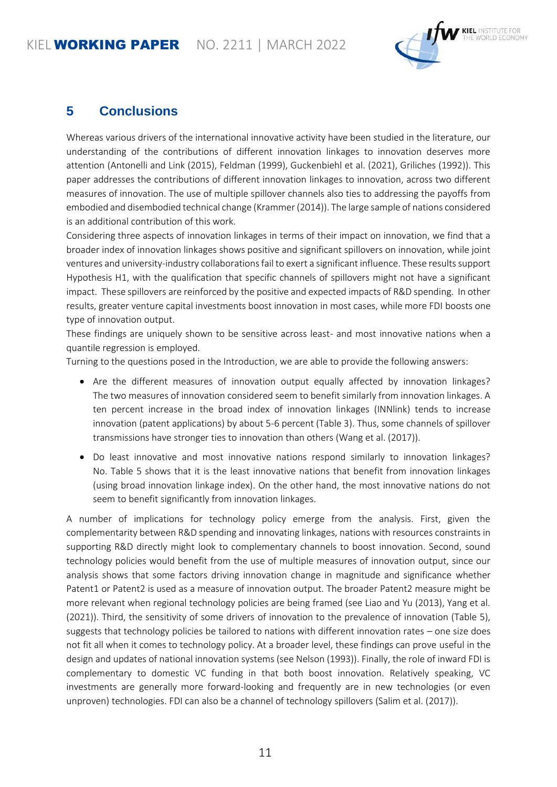#### KIEL **WORKING PAPER** NO. 2211 | MARCH 2022



#### **5 Conclusions**

Whereas various drivers of the international innovative activity have been studied in the literature, our understanding of the contributions of different innovation linkages to innovation deserves more attention (Antonelli and Link (2015), Feldman (1999), Guckenbiehl et al. (2021), Griliches (1992)). This paper addresses the contributions of different innovation linkages to innovation, across two different measures of innovation. The use of multiple spillover channels also ties to addressing the payoffs from embodied and disembodied technical change (Krammer (2014)). The large sample of nations considered is an additional contribution of this work.

Considering three aspects of innovation linkages in terms of their impact on innovation, we find that a broader index of innovation linkages shows positive and significant spillovers on innovation, while joint ventures and university-industry collaborations fail to exert a significant influence. These results support Hypothesis H1, with the qualification that specific channels of spillovers might not have a significant impact. These spillovers are reinforced by the positive and expected impacts of R&D spending. In other results, greater venture capital investments boost innovation in most cases, while more FDI boosts one type of innovation output.

These findings are uniquely shown to be sensitive across least- and most innovative nations when a quantile regression is employed.

Turning to the questions posed in the Introduction, we are able to provide the following answers:

- Are the different measures of innovation output equally affected by innovation linkages? The two measures of innovation considered seem to benefit similarly from innovation linkages. A ten percent increase in the broad index of innovation linkages (INNlink) tends to increase innovation (patent applications) by about 5-6 percent (Table 3). Thus, some channels of spillover transmissions have stronger ties to innovation than others (Wang et al. (2017)).
- Do least innovative and most innovative nations respond similarly to innovation linkages? No. Table 5 shows that it is the least innovative nations that benefit from innovation linkages (using broad innovation linkage index). On the other hand, the most innovative nations do not seem to benefit significantly from innovation linkages.

A number of implications for technology policy emerge from the analysis. First, given the complementarity between R&D spending and innovating linkages, nations with resources constraints in supporting R&D directly might look to complementary channels to boost innovation. Second, sound technology policies would benefit from the use of multiple measures of innovation output, since our analysis shows that some factors driving innovation change in magnitude and significance whether Patent1 or Patent2 is used as a measure of innovation output. The broader Patent2 measure might be more relevant when regional technology policies are being framed (see Liao and Yu (2013), Yang et al. (2021)). Third, the sensitivity of some drivers of innovation to the prevalence of innovation (Table 5), suggests that technology policies be tailored to nations with different innovation rates – one size does not fit all when it comes to technology policy. At a broader level, these findings can prove useful in the design and updates of national innovation systems (see Nelson (1993)). Finally, the role of inward FDI is complementary to domestic VC funding in that both boost innovation. Relatively speaking, VC investments are generally more forward-looking and frequently are in new technologies (or even unproven) technologies. FDI can also be a channel of technology spillovers (Salim et al. (2017)).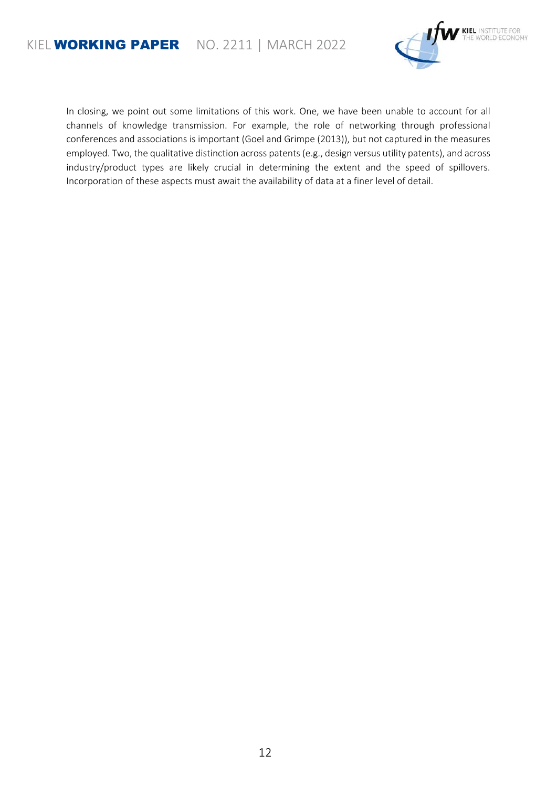

In closing, we point out some limitations of this work. One, we have been unable to account for all channels of knowledge transmission. For example, the role of networking through professional conferences and associations is important (Goel and Grimpe (2013)), but not captured in the measures employed. Two, the qualitative distinction across patents (e.g., design versus utility patents), and across industry/product types are likely crucial in determining the extent and the speed of spillovers. Incorporation of these aspects must await the availability of data at a finer level of detail.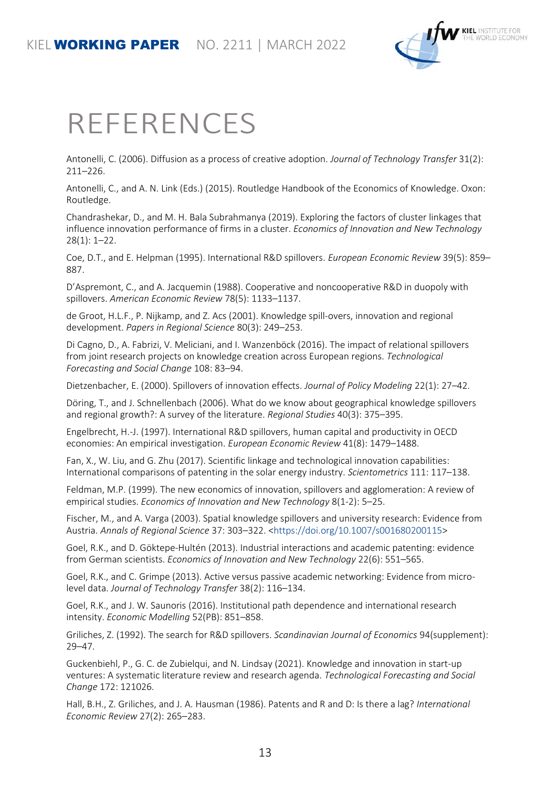

## REFERENCES

Antonelli, C. (2006). Diffusion as a process of creative adoption. *Journal of Technology Transfer* 31(2): 211–226.

Antonelli, C., and A. N. Link (Eds.) (2015). Routledge Handbook of the Economics of Knowledge. Oxon: Routledge.

Chandrashekar, D., and M. H. Bala Subrahmanya (2019). Exploring the factors of cluster linkages that influence innovation performance of firms in a cluster. *Economics of Innovation and New Technology* 28(1): 1–22.

Coe, D.T., and E. Helpman (1995). International R&D spillovers. *European Economic Review* 39(5): 859– 887.

D'Aspremont, C., and A. Jacquemin (1988). Cooperative and noncooperative R&D in duopoly with spillovers. *American Economic Review* 78(5): 1133–1137.

de Groot, H.L.F., P. Nijkamp, and Z. Acs (2001). Knowledge spill-overs, innovation and regional development. *Papers in Regional Science* 80(3): 249–253.

Di Cagno, D., A. Fabrizi, V. Meliciani, and I. Wanzenböck (2016). The impact of relational spillovers from joint research projects on knowledge creation across European regions. *Technological Forecasting and Social Change* 108: 83–94.

Dietzenbacher, E. (2000). Spillovers of innovation effects. *Journal of Policy Modeling* 22(1): 27–42.

Döring, T., and J. Schnellenbach (2006). What do we know about geographical knowledge spillovers and regional growth?: A survey of the literature. *Regional Studies* 40(3): 375–395.

Engelbrecht, H.-J. (1997). International R&D spillovers, human capital and productivity in OECD economies: An empirical investigation. *European Economic Review* 41(8): 1479–1488.

Fan, X., W. Liu, and G. Zhu (2017). Scientific linkage and technological innovation capabilities: International comparisons of patenting in the solar energy industry. *Scientometrics* 111: 117–138.

Feldman, M.P. (1999). The new economics of innovation, spillovers and agglomeration: A review of empirical studies. *Economics of Innovation and New Technology* 8(1-2): 5–25.

Fischer, M., and A. Varga (2003). Spatial knowledge spillovers and university research: Evidence from Austria. *Annals of Regional Science* 37: 303–322. [<https://doi.org/10.1007/s001680200115>](https://doi.org/10.1007/s001680200115)

Goel, R.K., and D. Göktepe-Hultén (2013). Industrial interactions and academic patenting: evidence from German scientists. *Economics of Innovation and New Technology* 22(6): 551–565.

Goel, R.K., and C. Grimpe (2013). Active versus passive academic networking: Evidence from microlevel data. *Journal of Technology Transfer* 38(2): 116–134.

Goel, R.K., and J. W. Saunoris (2016). Institutional path dependence and international research intensity. *Economic Modelling* 52(PB): 851–858.

Griliches, Z. (1992). The search for R&D spillovers. *Scandinavian Journal of Economics* 94(supplement): 29–47.

Guckenbiehl, P., G. C. de Zubielqui, and N. Lindsay (2021). Knowledge and innovation in start-up ventures: A systematic literature review and research agenda. *Technological Forecasting and Social Change* 172: 121026.

Hall, B.H., Z. Griliches, and J. A. Hausman (1986). Patents and R and D: Is there a lag? *International Economic Review* 27(2): 265–283.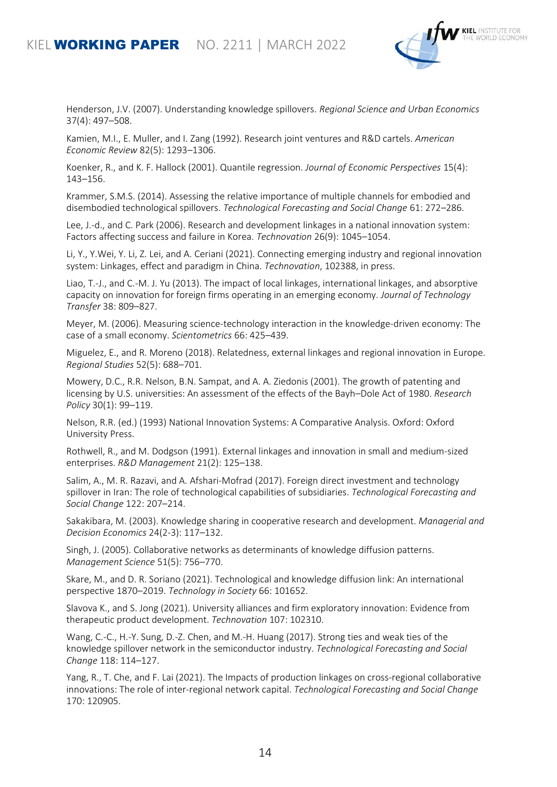#### KIEL **WORKING PAPER** NO. 2211 | MARCH 2022



Henderson, J.V. (2007). Understanding knowledge spillovers. *Regional Science and Urban Economics* 37(4): 497–508.

Kamien, M.I., E. Muller, and I. Zang (1992). Research joint ventures and R&D cartels. *American Economic Review* 82(5): 1293–1306.

Koenker, R., and K. F. Hallock (2001). Quantile regression. *Journal of Economic Perspectives* 15(4): 143–156.

Krammer, S.M.S. (2014). Assessing the relative importance of multiple channels for embodied and disembodied technological spillovers. *Technological Forecasting and Social Change* 61: 272–286.

Lee, J.-d., and C. Park (2006). Research and development linkages in a national innovation system: Factors affecting success and failure in Korea. *Technovation* 26(9): 1045–1054.

Li, Y., Y.Wei, Y. Li, Z. Lei, and A. Ceriani (2021). Connecting emerging industry and regional innovation system: Linkages, effect and paradigm in China. *Technovation*, 102388, in press.

Liao, T.-J., and C.-M. J. Yu (2013). The impact of local linkages, international linkages, and absorptive capacity on innovation for foreign firms operating in an emerging economy. *Journal of Technology Transfer* 38: 809–827.

Meyer, M. (2006). Measuring science-technology interaction in the knowledge-driven economy: The case of a small economy. *Scientometrics* 66: 425–439.

Miguelez, E., and R. Moreno (2018). Relatedness, external linkages and regional innovation in Europe. *Regional Studies* 52(5): 688–701.

Mowery, D.C., R.R. Nelson, B.N. Sampat, and A. A. Ziedonis (2001). The growth of patenting and licensing by U.S. universities: An assessment of the effects of the Bayh–Dole Act of 1980. *Research Policy* 30(1): 99–119.

Nelson, R.R. (ed.) (1993) National Innovation Systems: A Comparative Analysis. Oxford: Oxford University Press.

Rothwell, R., and M. Dodgson (1991). External linkages and innovation in small and medium-sized enterprises. *R&D Management* 21(2): 125–138.

Salim, A., M. R. Razavi, and A. Afshari-Mofrad (2017). Foreign direct investment and technology spillover in Iran: The role of technological capabilities of subsidiaries. *Technological Forecasting and Social Change* 122: 207–214.

Sakakibara, M. (2003). Knowledge sharing in cooperative research and development. *Managerial and Decision Economics* 24(2-3): 117–132.

Singh, J. (2005). Collaborative networks as determinants of knowledge diffusion patterns. *Management Science* 51(5): 756–770.

Skare, M., and D. R. Soriano (2021). Technological and knowledge diffusion link: An international perspective 1870–2019. *Technology in Society* 66: 101652.

Slavova K., and S. Jong (2021). University alliances and firm exploratory innovation: Evidence from therapeutic product development. *Technovation* 107: 102310.

Wang, C.-C., H.-Y. Sung, D.-Z. Chen, and M.-H. Huang (2017). Strong ties and weak ties of the knowledge spillover network in the semiconductor industry. *Technological Forecasting and Social Change* 118: 114–127.

Yang, R., T. Che, and F. Lai (2021). The Impacts of production linkages on cross-regional collaborative innovations: The role of inter-regional network capital. *Technological Forecasting and Social Change* 170: 120905.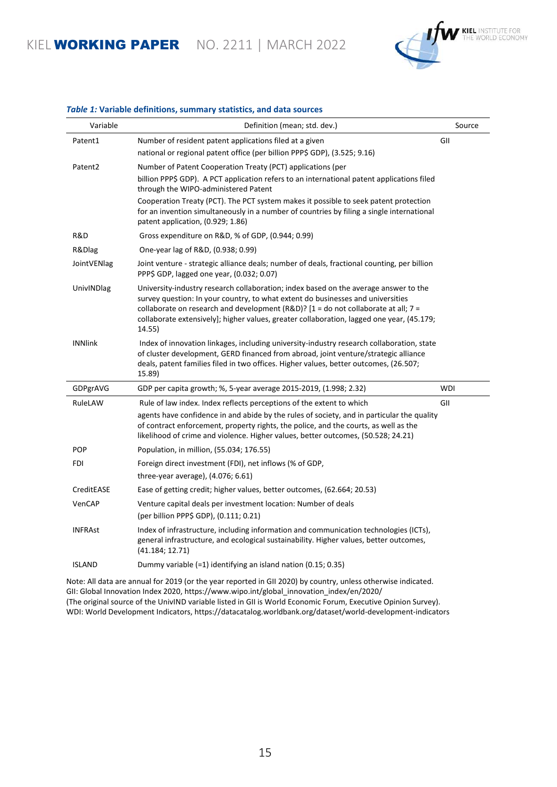KIEL WORKING PAPER NO. 2211 | MARCH 2022



| Variable            | Definition (mean; std. dev.)                                                                                                                                                                                                                                                                                                                                             | Source     |
|---------------------|--------------------------------------------------------------------------------------------------------------------------------------------------------------------------------------------------------------------------------------------------------------------------------------------------------------------------------------------------------------------------|------------|
| Patent1             | Number of resident patent applications filed at a given                                                                                                                                                                                                                                                                                                                  | GII        |
|                     | national or regional patent office (per billion PPP\$ GDP), (3.525; 9.16)                                                                                                                                                                                                                                                                                                |            |
| Patent <sub>2</sub> | Number of Patent Cooperation Treaty (PCT) applications (per                                                                                                                                                                                                                                                                                                              |            |
|                     | billion PPP\$ GDP). A PCT application refers to an international patent applications filed<br>through the WIPO-administered Patent                                                                                                                                                                                                                                       |            |
|                     | Cooperation Treaty (PCT). The PCT system makes it possible to seek patent protection<br>for an invention simultaneously in a number of countries by filing a single international<br>patent application, (0.929; 1.86)                                                                                                                                                   |            |
| R&D                 | Gross expenditure on R&D, % of GDP, (0.944; 0.99)                                                                                                                                                                                                                                                                                                                        |            |
| R&Dlag              | One-year lag of R&D, (0.938; 0.99)                                                                                                                                                                                                                                                                                                                                       |            |
| JointVENlag         | Joint venture - strategic alliance deals; number of deals, fractional counting, per billion<br>PPP\$ GDP, lagged one year, (0.032; 0.07)                                                                                                                                                                                                                                 |            |
| UnivINDlag          | University-industry research collaboration; index based on the average answer to the<br>survey question: In your country, to what extent do businesses and universities<br>collaborate on research and development (R&D)? $[1 =$ do not collaborate at all; $7 =$<br>collaborate extensively]; higher values, greater collaboration, lagged one year, (45.179;<br>14.55) |            |
| <b>INNlink</b>      | Index of innovation linkages, including university-industry research collaboration, state<br>of cluster development, GERD financed from abroad, joint venture/strategic alliance<br>deals, patent families filed in two offices. Higher values, better outcomes, (26.507;<br>15.89)                                                                                      |            |
| GDPgrAVG            | GDP per capita growth; %, 5-year average 2015-2019, (1.998; 2.32)                                                                                                                                                                                                                                                                                                        | <b>WDI</b> |
| RuleLAW             | Rule of law index. Index reflects perceptions of the extent to which<br>agents have confidence in and abide by the rules of society, and in particular the quality<br>of contract enforcement, property rights, the police, and the courts, as well as the<br>likelihood of crime and violence. Higher values, better outcomes, (50.528; 24.21)                          | GII        |
| <b>POP</b>          | Population, in million, (55.034; 176.55)                                                                                                                                                                                                                                                                                                                                 |            |
| FDI                 | Foreign direct investment (FDI), net inflows (% of GDP,                                                                                                                                                                                                                                                                                                                  |            |
|                     | three-year average), $(4.076; 6.61)$                                                                                                                                                                                                                                                                                                                                     |            |
| CreditEASE          | Ease of getting credit; higher values, better outcomes, (62.664; 20.53)                                                                                                                                                                                                                                                                                                  |            |
| VenCAP              | Venture capital deals per investment location: Number of deals<br>(per billion PPP\$ GDP), (0.111; 0.21)                                                                                                                                                                                                                                                                 |            |
| <b>INFRAst</b>      | Index of infrastructure, including information and communication technologies (ICTs),<br>general infrastructure, and ecological sustainability. Higher values, better outcomes,<br>(41.184; 12.71)                                                                                                                                                                       |            |
| <b>ISLAND</b>       | Dummy variable (=1) identifying an island nation (0.15; 0.35)                                                                                                                                                                                                                                                                                                            |            |
|                     |                                                                                                                                                                                                                                                                                                                                                                          |            |

#### *Table 1:* **Variable definitions, summary statistics, and data sources**

Note: All data are annual for 2019 (or the year reported in GII 2020) by country, unless otherwise indicated. GII: Global Innovation Index 2020, https://www.wipo.int/global\_innovation\_index/en/2020/ (The original source of the UnivIND variable listed in GII is World Economic Forum, Executive Opinion Survey). WDI: World Development Indicators, https://datacatalog.worldbank.org/dataset/world-development-indicators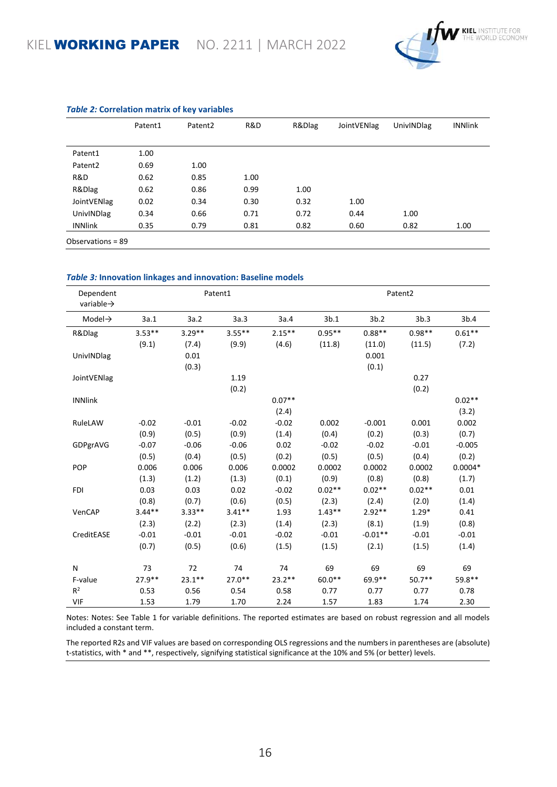

|                     | Patent1 | Patent <sub>2</sub> | R&D  | R&Dlag | JointVENlag | UnivINDlag | <b>INNlink</b> |
|---------------------|---------|---------------------|------|--------|-------------|------------|----------------|
|                     |         |                     |      |        |             |            |                |
| Patent1             | 1.00    |                     |      |        |             |            |                |
| Patent <sub>2</sub> | 0.69    | 1.00                |      |        |             |            |                |
| R&D                 | 0.62    | 0.85                | 1.00 |        |             |            |                |
| R&Dlag              | 0.62    | 0.86                | 0.99 | 1.00   |             |            |                |
| JointVENlag         | 0.02    | 0.34                | 0.30 | 0.32   | 1.00        |            |                |
| <b>UnivINDlag</b>   | 0.34    | 0.66                | 0.71 | 0.72   | 0.44        | 1.00       |                |
| <b>INNlink</b>      | 0.35    | 0.79                | 0.81 | 0.82   | 0.60        | 0.82       | 1.00           |
| Observations = 89   |         |                     |      |        |             |            |                |

#### *Table 2:* **Correlation matrix of key variables**

#### *Table 3:* **Innovation linkages and innovation: Baseline models**

| Dependent<br>variable $\rightarrow$ |          |           | Patent1   |          |          |           | Patent <sub>2</sub> |           |
|-------------------------------------|----------|-----------|-----------|----------|----------|-----------|---------------------|-----------|
| Model $\rightarrow$                 | 3a.1     | 3a.2      | 3a.3      | 3a.4     | 3b.1     | 3b.2      | 3b.3                | 3b.4      |
| R&Dlag                              | $3.53**$ | $3.29**$  | $3.55***$ | $2.15**$ | $0.95**$ | $0.88**$  | $0.98**$            | $0.61**$  |
|                                     | (9.1)    | (7.4)     | (9.9)     | (4.6)    | (11.8)   | (11.0)    | (11.5)              | (7.2)     |
| UnivINDlag                          |          | 0.01      |           |          |          | 0.001     |                     |           |
|                                     |          | (0.3)     |           |          |          | (0.1)     |                     |           |
| JointVENlag                         |          |           | 1.19      |          |          |           | 0.27                |           |
|                                     |          |           | (0.2)     |          |          |           | (0.2)               |           |
| <b>INNlink</b>                      |          |           |           | $0.07**$ |          |           |                     | $0.02**$  |
|                                     |          |           |           | (2.4)    |          |           |                     | (3.2)     |
| RuleLAW                             | $-0.02$  | $-0.01$   | $-0.02$   | $-0.02$  | 0.002    | $-0.001$  | 0.001               | 0.002     |
|                                     | (0.9)    | (0.5)     | (0.9)     | (1.4)    | (0.4)    | (0.2)     | (0.3)               | (0.7)     |
| GDPgrAVG                            | $-0.07$  | $-0.06$   | $-0.06$   | 0.02     | $-0.02$  | $-0.02$   | $-0.01$             | $-0.005$  |
|                                     | (0.5)    | (0.4)     | (0.5)     | (0.2)    | (0.5)    | (0.5)     | (0.4)               | (0.2)     |
| <b>POP</b>                          | 0.006    | 0.006     | 0.006     | 0.0002   | 0.0002   | 0.0002    | 0.0002              | $0.0004*$ |
|                                     | (1.3)    | (1.2)     | (1.3)     | (0.1)    | (0.9)    | (0.8)     | (0.8)               | (1.7)     |
| <b>FDI</b>                          | 0.03     | 0.03      | 0.02      | $-0.02$  | $0.02**$ | $0.02**$  | $0.02**$            | 0.01      |
|                                     | (0.8)    | (0.7)     | (0.6)     | (0.5)    | (2.3)    | (2.4)     | (2.0)               | (1.4)     |
| VenCAP                              | $3.44**$ | $3.33**$  | $3.41**$  | 1.93     | $1.43**$ | $2.92**$  | $1.29*$             | 0.41      |
|                                     | (2.3)    | (2.2)     | (2.3)     | (1.4)    | (2.3)    | (8.1)     | (1.9)               | (0.8)     |
| CreditEASE                          | $-0.01$  | $-0.01$   | $-0.01$   | $-0.02$  | $-0.01$  | $-0.01**$ | $-0.01$             | $-0.01$   |
|                                     | (0.7)    | (0.5)     | (0.6)     | (1.5)    | (1.5)    | (2.1)     | (1.5)               | (1.4)     |
| N                                   | 73       | 72        | 74        | 74       | 69       | 69        | 69                  | 69        |
| F-value                             | 27.9**   | $23.1***$ | $27.0**$  | $23.2**$ | $60.0**$ | 69.9**    | $50.7**$            | 59.8**    |
| R <sup>2</sup>                      | 0.53     | 0.56      | 0.54      | 0.58     | 0.77     | 0.77      | 0.77                | 0.78      |
| VIF                                 | 1.53     | 1.79      | 1.70      | 2.24     | 1.57     | 1.83      | 1.74                | 2.30      |

Notes: Notes: See Table 1 for variable definitions. The reported estimates are based on robust regression and all models included a constant term.

The reported R2s and VIF values are based on corresponding OLS regressions and the numbers in parentheses are (absolute) t-statistics, with \* and \*\*, respectively, signifying statistical significance at the 10% and 5% (or better) levels.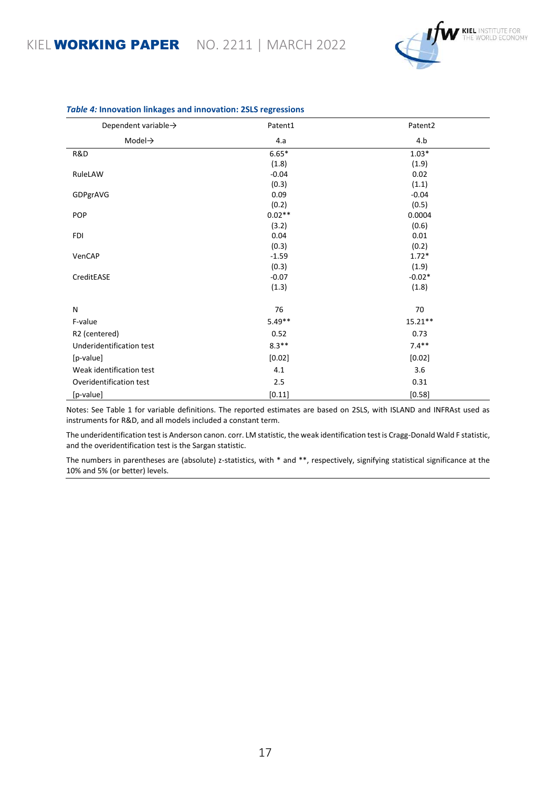

| Dependent variable $\rightarrow$ | Patent1  | Patent2   |
|----------------------------------|----------|-----------|
| Model $\rightarrow$              | 4.a      | 4.b       |
| R&D                              | $6.65*$  | $1.03*$   |
|                                  | (1.8)    | (1.9)     |
| RuleLAW                          | $-0.04$  | 0.02      |
|                                  | (0.3)    | (1.1)     |
| GDPgrAVG                         | 0.09     | $-0.04$   |
|                                  | (0.2)    | (0.5)     |
| <b>POP</b>                       | $0.02**$ | 0.0004    |
|                                  | (3.2)    | (0.6)     |
| <b>FDI</b>                       | 0.04     | 0.01      |
|                                  | (0.3)    | (0.2)     |
| VenCAP                           | $-1.59$  | $1.72*$   |
|                                  | (0.3)    | (1.9)     |
| CreditEASE                       | $-0.07$  | $-0.02*$  |
|                                  | (1.3)    | (1.8)     |
| N                                | 76       | 70        |
| F-value                          | $5.49**$ | $15.21**$ |
| R2 (centered)                    | 0.52     | 0.73      |
| Underidentification test         | $8.3**$  | $7.4**$   |
| [p-value]                        | [0.02]   | [0.02]    |
| Weak identification test         | 4.1      | 3.6       |
| Overidentification test          | 2.5      | 0.31      |
| [p-value]                        | [0.11]   | [0.58]    |

#### *Table 4:* **Innovation linkages and innovation: 2SLS regressions**

Notes: See Table 1 for variable definitions. The reported estimates are based on 2SLS, with ISLAND and INFRAst used as instruments for R&D, and all models included a constant term.

The underidentification test is Anderson canon. corr. LM statistic, the weak identification test is Cragg-Donald Wald F statistic, and the overidentification test is the Sargan statistic.

The numbers in parentheses are (absolute) z-statistics, with \* and \*\*, respectively, signifying statistical significance at the 10% and 5% (or better) levels.